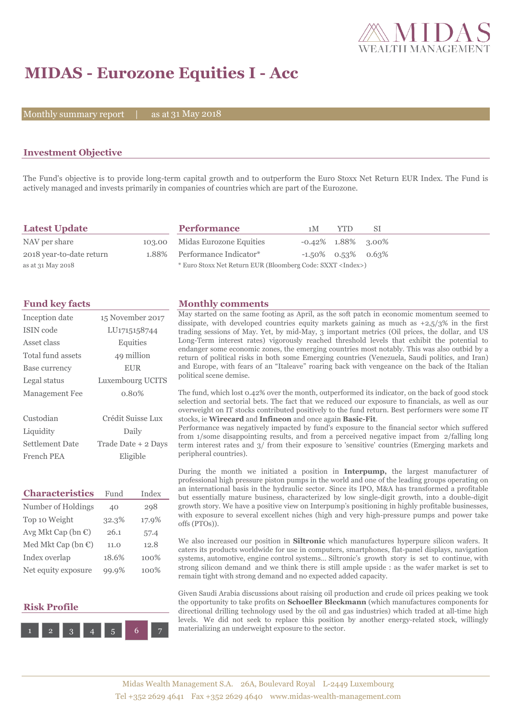

# **MIDAS - Eurozone Equities I - Acc**

Monthly summary report  $\Box$ 

as at 31 May 2018

## **Investment Objective**

The Fund's objective is to provide long-term capital growth and to outperform the Euro Stoxx Net Return EUR Index. The Fund is actively managed and invests primarily in companies of countries which are part of the Eurozone.

| <b>Latest Update</b>     | <b>Performance</b>                                                 | 1 M                   | YTD.                  | -SI |
|--------------------------|--------------------------------------------------------------------|-----------------------|-----------------------|-----|
| NAV per share            | 103.00 Midas Eurozone Equities                                     | $-0.42\%$ 1.88% 3.00% |                       |     |
| 2018 year-to-date return | 1.88% Performance Indicator*                                       |                       | $-1.50\%$ 0.53% 0.63% |     |
| as at 31 May 2018        | * Euro Stoxx Net Return EUR (Bloomberg Code: SXXT <index>)</index> |                       |                       |     |

| Inception date         | 15 November 2017    |  |  |
|------------------------|---------------------|--|--|
| <b>ISIN</b> code       | LU1715158744        |  |  |
| Asset class            | Equities            |  |  |
| Total fund assets      | 49 million          |  |  |
| Base currency          | <b>EUR</b>          |  |  |
| Legal status           | Luxembourg UCITS    |  |  |
| <b>Management Fee</b>  | 0.80%               |  |  |
|                        |                     |  |  |
|                        |                     |  |  |
| Custodian              | Crédit Suisse Lux   |  |  |
| Liquidity              | Daily               |  |  |
| <b>Settlement Date</b> | Trade Date + 2 Days |  |  |

| <b>Characteristics</b>         | Fund  | Index |
|--------------------------------|-------|-------|
| Number of Holdings             | 40    | 298   |
| Top 10 Weight                  | 32.3% | 17.9% |
| Avg Mkt Cap (bn $\mathbb{C}$ ) | 26.1  | 57.4  |
| Med Mkt Cap (bn $\mathbb{C}$ ) | 11.0  | 12.8  |
| Index overlap                  | 18.6% | 100%  |
| Net equity exposure            | 99.9% | 100%  |

# **Risk Profile**



### **Fund key facts Monthly comments**

May started on the same footing as April, as the soft patch in economic momentum seemed to dissipate, with developed countries equity markets gaining as much as  $+2,5/3\%$  in the first trading sessions of May. Yet, by mid-May, 3 important metrics (Oil prices, the dollar, and US Long-Term interest rates) vigorously reached threshold levels that exhibit the potential to endanger some economic zones, the emerging countries most notably. This was also outbid by a return of political risks in both some Emerging countries (Venezuela, Saudi politics, and Iran) and Europe, with fears of an "Italeave" roaring back with vengeance on the back of the Italian political scene demise.

The fund, which lost 0.42% over the month, outperformed its indicator, on the back of good stock selection and sectorial bets. The fact that we reduced our exposure to financials, as well as our overweight on IT stocks contributed positively to the fund return. Best performers were some IT stocks, ie **Wirecard** and **Infineon** and once again **Basic-Fit**.

Performance was negatively impacted by fund's exposure to the financial sector which suffered from 1/some disappointing results, and from a perceived negative impact from 2/falling long term interest rates and 3/ from their exposure to 'sensitive' countries (Emerging markets and peripheral countries).

During the month we initiated a position in **Interpump,** the largest manufacturer of professional high pressure piston pumps in the world and one of the leading groups operating on an international basis in the hydraulic sector. Since its IPO, M&A has transformed a profitable but essentially mature business, characterized by low single-digit growth, into a double-digit growth story. We have a positive view on Interpump's positioning in highly profitable businesses, with exposure to several excellent niches (high and very high-pressure pumps and power take offs (PTOs)).

We also increased our position in **Siltronic** which manufactures hyperpure silicon wafers. It caters its products worldwide for use in computers, smartphones, flat-panel displays, navigation systems, automotive, engine control systems… Siltronic's growth story is set to continue, with strong silicon demand and we think there is still ample upside : as the wafer market is set to remain tight with strong demand and no expected added capacity.

Given Saudi Arabia discussions about raising oil production and crude oil prices peaking we took the opportunity to take profits on **Schoeller Bleckmann** (which manufactures components for directional drilling technology used by the oil and gas industries) which traded at all-time high levels. We did not seek to replace this position by another energy-related stock, willingly materializing an underweight exposure to the sector.